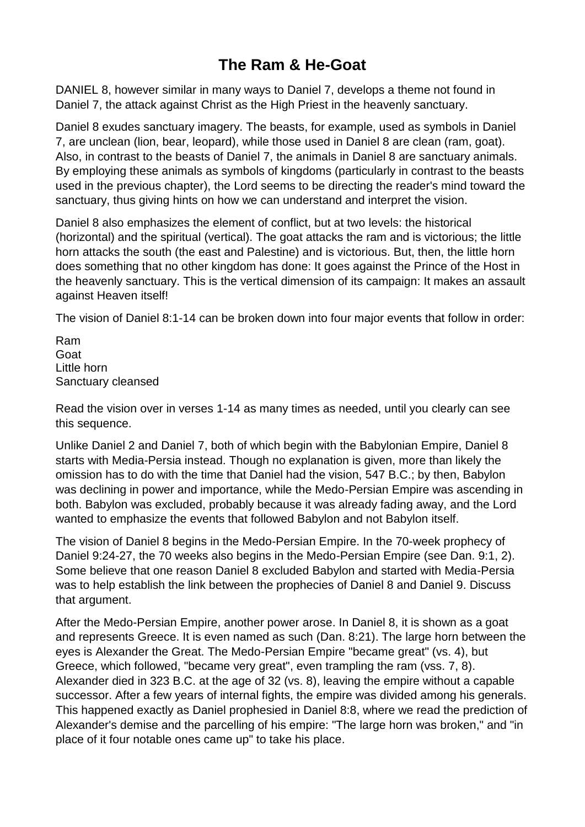## **The Ram & He-Goat**

DANIEL 8, however similar in many ways to Daniel 7, develops a theme not found in Daniel 7, the attack against Christ as the High Priest in the heavenly sanctuary.

Daniel 8 exudes sanctuary imagery. The beasts, for example, used as symbols in Daniel 7, are unclean (lion, bear, leopard), while those used in Daniel 8 are clean (ram, goat). Also, in contrast to the beasts of Daniel 7, the animals in Daniel 8 are sanctuary animals. By employing these animals as symbols of kingdoms (particularly in contrast to the beasts used in the previous chapter), the Lord seems to be directing the reader's mind toward the sanctuary, thus giving hints on how we can understand and interpret the vision.

Daniel 8 also emphasizes the element of conflict, but at two levels: the historical (horizontal) and the spiritual (vertical). The goat attacks the ram and is victorious; the little horn attacks the south (the east and Palestine) and is victorious. But, then, the little horn does something that no other kingdom has done: It goes against the Prince of the Host in the heavenly sanctuary. This is the vertical dimension of its campaign: It makes an assault against Heaven itself!

The vision of Daniel 8:1-14 can be broken down into four major events that follow in order:

Ram Goat Little horn Sanctuary cleansed

Read the vision over in verses 1-14 as many times as needed, until you clearly can see this sequence.

Unlike Daniel 2 and Daniel 7, both of which begin with the Babylonian Empire, Daniel 8 starts with Media-Persia instead. Though no explanation is given, more than likely the omission has to do with the time that Daniel had the vision, 547 B.C.; by then, Babylon was declining in power and importance, while the Medo-Persian Empire was ascending in both. Babylon was excluded, probably because it was already fading away, and the Lord wanted to emphasize the events that followed Babylon and not Babylon itself.

The vision of Daniel 8 begins in the Medo-Persian Empire. In the 70-week prophecy of Daniel 9:24-27, the 70 weeks also begins in the Medo-Persian Empire (see Dan. 9:1, 2). Some believe that one reason Daniel 8 excluded Babylon and started with Media-Persia was to help establish the link between the prophecies of Daniel 8 and Daniel 9. Discuss that argument.

After the Medo-Persian Empire, another power arose. In Daniel 8, it is shown as a goat and represents Greece. It is even named as such (Dan. 8:21). The large horn between the eyes is Alexander the Great. The Medo-Persian Empire "became great" (vs. 4), but Greece, which followed, "became very great", even trampling the ram (vss. 7, 8). Alexander died in 323 B.C. at the age of 32 (vs. 8), leaving the empire without a capable successor. After a few years of internal fights, the empire was divided among his generals. This happened exactly as Daniel prophesied in Daniel 8:8, where we read the prediction of Alexander's demise and the parcelling of his empire: "The large horn was broken," and "in place of it four notable ones came up" to take his place.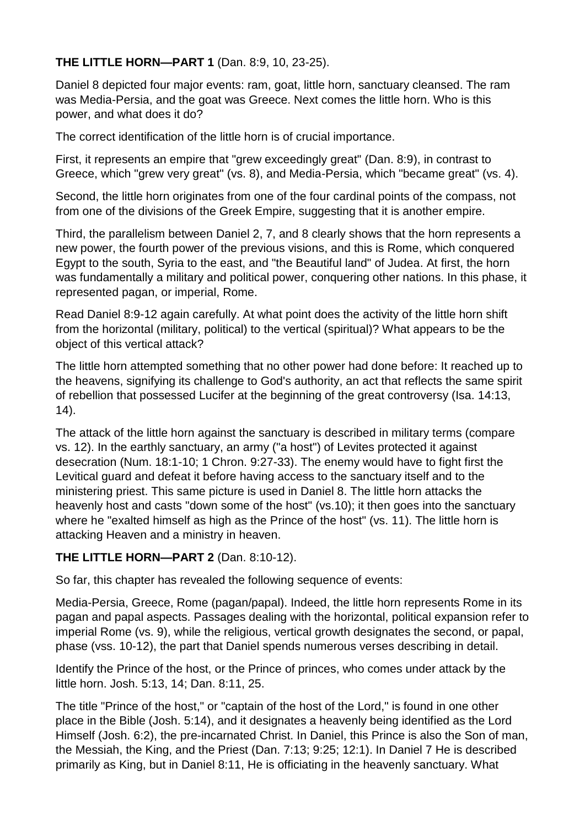## **THE LITTLE HORN—PART 1** (Dan. 8:9, 10, 23-25).

Daniel 8 depicted four major events: ram, goat, little horn, sanctuary cleansed. The ram was Media-Persia, and the goat was Greece. Next comes the little horn. Who is this power, and what does it do?

The correct identification of the little horn is of crucial importance.

First, it represents an empire that "grew exceedingly great" (Dan. 8:9), in contrast to Greece, which "grew very great" (vs. 8), and Media-Persia, which "became great" (vs. 4).

Second, the little horn originates from one of the four cardinal points of the compass, not from one of the divisions of the Greek Empire, suggesting that it is another empire.

Third, the parallelism between Daniel 2, 7, and 8 clearly shows that the horn represents a new power, the fourth power of the previous visions, and this is Rome, which conquered Egypt to the south, Syria to the east, and "the Beautiful land" of Judea. At first, the horn was fundamentally a military and political power, conquering other nations. In this phase, it represented pagan, or imperial, Rome.

Read Daniel 8:9-12 again carefully. At what point does the activity of the little horn shift from the horizontal (military, political) to the vertical (spiritual)? What appears to be the object of this vertical attack?

The little horn attempted something that no other power had done before: It reached up to the heavens, signifying its challenge to God's authority, an act that reflects the same spirit of rebellion that possessed Lucifer at the beginning of the great controversy (Isa. 14:13, 14).

The attack of the little horn against the sanctuary is described in military terms (compare vs. 12). In the earthly sanctuary, an army ("a host") of Levites protected it against desecration (Num. 18:1-10; 1 Chron. 9:27-33). The enemy would have to fight first the Levitical guard and defeat it before having access to the sanctuary itself and to the ministering priest. This same picture is used in Daniel 8. The little horn attacks the heavenly host and casts "down some of the host" (vs.10); it then goes into the sanctuary where he "exalted himself as high as the Prince of the host" (vs. 11). The little horn is attacking Heaven and a ministry in heaven.

## **THE LITTLE HORN—PART 2** (Dan. 8:10-12).

So far, this chapter has revealed the following sequence of events:

Media-Persia, Greece, Rome (pagan/papal). Indeed, the little horn represents Rome in its pagan and papal aspects. Passages dealing with the horizontal, political expansion refer to imperial Rome (vs. 9), while the religious, vertical growth designates the second, or papal, phase (vss. 10-12), the part that Daniel spends numerous verses describing in detail.

Identify the Prince of the host, or the Prince of princes, who comes under attack by the little horn. Josh. 5:13, 14; Dan. 8:11, 25.

The title "Prince of the host," or "captain of the host of the Lord," is found in one other place in the Bible (Josh. 5:14), and it designates a heavenly being identified as the Lord Himself (Josh. 6:2), the pre-incarnated Christ. In Daniel, this Prince is also the Son of man, the Messiah, the King, and the Priest (Dan. 7:13; 9:25; 12:1). In Daniel 7 He is described primarily as King, but in Daniel 8:11, He is officiating in the heavenly sanctuary. What